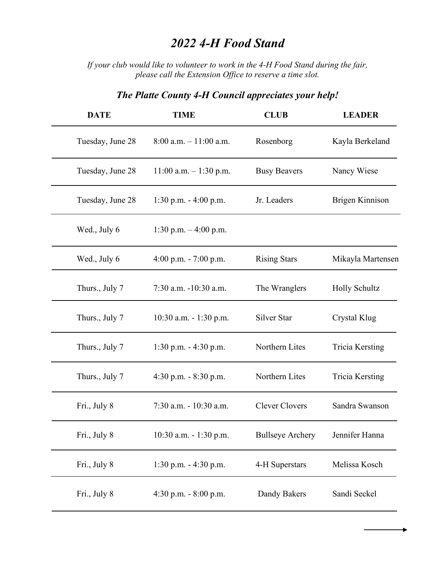## *2022 4-H Food Stand*

*If your club would like to volunteer to work in the 4-H Food Stand during the fair, please call the Extension Office to reserve a time slot.*

| <b>DATE</b>      | <b>TIME</b>                | <b>CLUB</b>             | <b>LEADER</b>          |
|------------------|----------------------------|-------------------------|------------------------|
| Tuesday, June 28 | $8:00$ a.m. $-11:00$ a.m.  | Rosenborg               | Kayla Berkeland        |
| Tuesday, June 28 | $11:00$ a.m. $- 1:30$ p.m. | <b>Busy Beavers</b>     | Nancy Wiese            |
| Tuesday, June 28 | $1:30$ p.m. $-4:00$ p.m.   | Jr. Leaders             | Brigen Kinnison        |
| Wed., July 6     | 1:30 p.m. $-4:00$ p.m.     |                         |                        |
| Wed., July 6     | 4:00 p.m. $-7:00$ p.m.     | <b>Rising Stars</b>     | Mikayla Martensen      |
| Thurs., July 7   | 7:30 a.m. -10:30 a.m.      | The Wranglers           | <b>Holly Schultz</b>   |
| Thurs., July 7   | $10:30$ a.m. $-1:30$ p.m.  | Silver Star             | Crystal Klug           |
| Thurs., July 7   | 1:30 p.m. $-4:30$ p.m.     | Northern Lites          | <b>Tricia Kersting</b> |
| Thurs., July 7   | 4:30 p.m. $-8:30$ p.m.     | Northern Lites          | <b>Tricia Kersting</b> |
| Fri., July 8     | 7:30 a.m. - 10:30 a.m.     | <b>Clever Clovers</b>   | Sandra Swanson         |
| Fri., July 8     | 10:30 a.m. - 1:30 p.m.     | <b>Bullseye Archery</b> | Jennifer Hanna         |
| Fri., July 8     | 1:30 p.m. $-4:30$ p.m.     | 4-H Superstars          | Melissa Kosch          |
| Fri., July 8     | 4:30 p.m. $-8:00$ p.m.     | Dandy Bakers            | Sandi Seckel           |

## *The Platte County 4-H Council appreciates your help!*